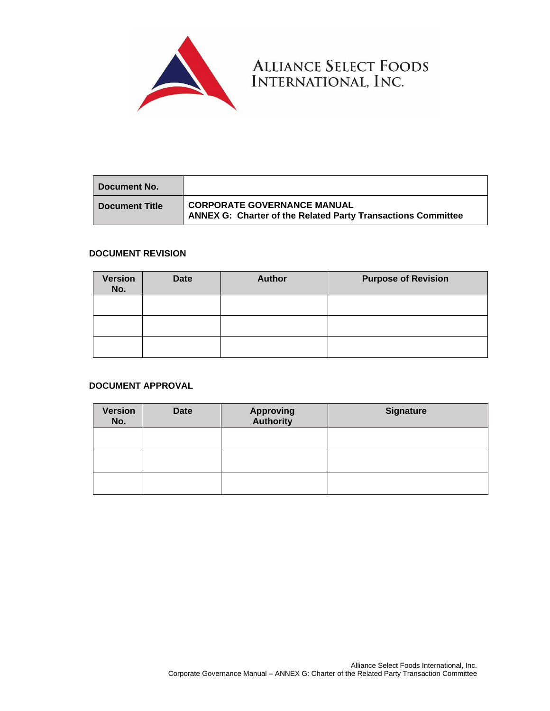

| l Document No.        |                                                                                                           |
|-----------------------|-----------------------------------------------------------------------------------------------------------|
| <b>Document Title</b> | <b>CORPORATE GOVERNANCE MANUAL</b><br><b>ANNEX G: Charter of the Related Party Transactions Committee</b> |

ALLIANCE SELECT FOODS<br>INTERNATIONAL, INC.

#### **DOCUMENT REVISION**

| <b>Version</b><br>No. | <b>Date</b> | <b>Author</b> | <b>Purpose of Revision</b> |
|-----------------------|-------------|---------------|----------------------------|
|                       |             |               |                            |
|                       |             |               |                            |
|                       |             |               |                            |

### **DOCUMENT APPROVAL**

| <b>Version</b><br>No. | <b>Date</b> | <b>Approving</b><br><b>Authority</b> | <b>Signature</b> |
|-----------------------|-------------|--------------------------------------|------------------|
|                       |             |                                      |                  |
|                       |             |                                      |                  |
|                       |             |                                      |                  |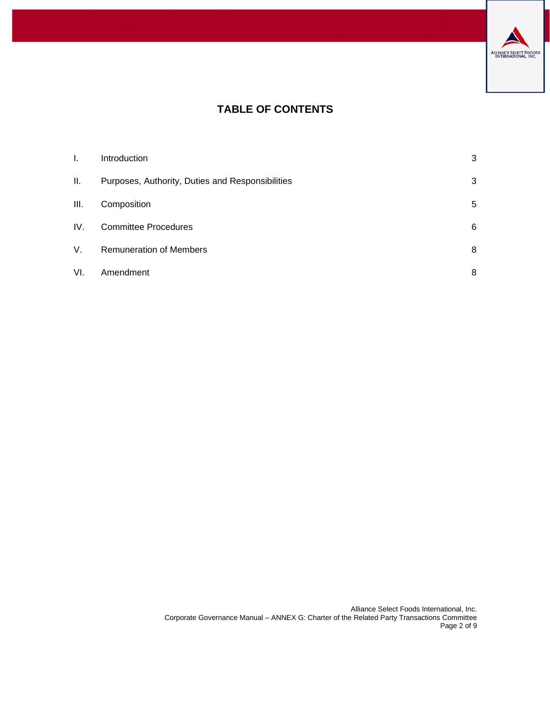

# **TABLE OF CONTENTS**

| I.  | Introduction                                     | 3 |
|-----|--------------------------------------------------|---|
| ΙΙ. | Purposes, Authority, Duties and Responsibilities | 3 |
| Ш.  | Composition                                      | 5 |
| IV. | <b>Committee Procedures</b>                      | 6 |
| V.  | <b>Remuneration of Members</b>                   | 8 |
| VI. | Amendment                                        | 8 |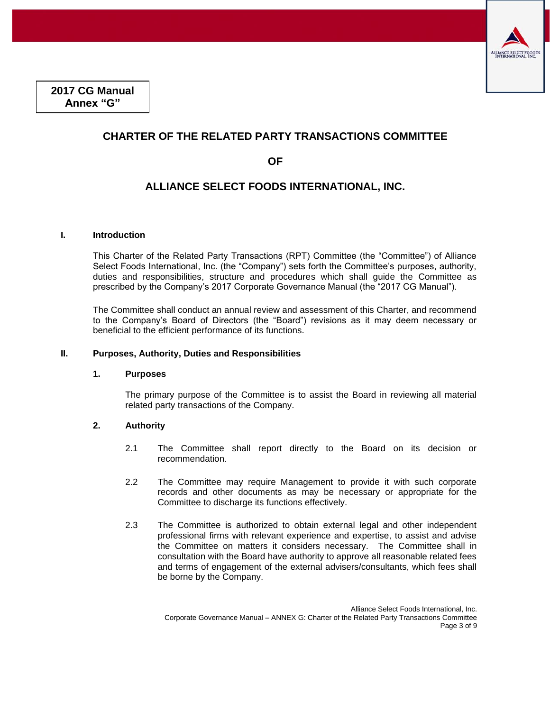

**2017 CG Manual Annex "G"**

## **CHARTER OF THE RELATED PARTY TRANSACTIONS COMMITTEE**

**OF** 

### **ALLIANCE SELECT FOODS INTERNATIONAL, INC.**

#### <span id="page-2-0"></span>**I. Introduction**

This Charter of the Related Party Transactions (RPT) Committee (the "Committee") of Alliance Select Foods International, Inc. (the "Company") sets forth the Committee's purposes, authority, duties and responsibilities, structure and procedures which shall guide the Committee as prescribed by the Company's 2017 Corporate Governance Manual (the "2017 CG Manual").

The Committee shall conduct an annual review and assessment of this Charter, and recommend to the Company's Board of Directors (the "Board") revisions as it may deem necessary or beneficial to the efficient performance of its functions.

#### <span id="page-2-1"></span>**II. Purposes, Authority, Duties and Responsibilities**

#### **1. Purposes**

The primary purpose of the Committee is to assist the Board in reviewing all material related party transactions of the Company.

#### **2. Authority**

- 2.1 The Committee shall report directly to the Board on its decision or recommendation.
- 2.2 The Committee may require Management to provide it with such corporate records and other documents as may be necessary or appropriate for the Committee to discharge its functions effectively.
- 2.3 The Committee is authorized to obtain external legal and other independent professional firms with relevant experience and expertise, to assist and advise the Committee on matters it considers necessary. The Committee shall in consultation with the Board have authority to approve all reasonable related fees and terms of engagement of the external advisers/consultants, which fees shall be borne by the Company.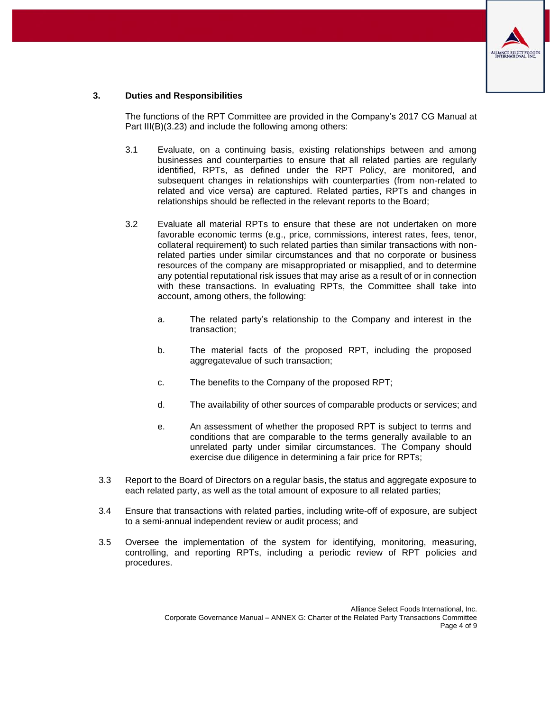

#### **3. Duties and Responsibilities**

The functions of the RPT Committee are provided in the Company's 2017 CG Manual at Part III(B)(3.23) and include the following among others:

- 3.1 Evaluate, on a continuing basis, existing relationships between and among businesses and counterparties to ensure that all related parties are regularly identified, RPTs, as defined under the RPT Policy, are monitored, and subsequent changes in relationships with counterparties (from non-related to related and vice versa) are captured. Related parties, RPTs and changes in relationships should be reflected in the relevant reports to the Board;
- 3.2 Evaluate all material RPTs to ensure that these are not undertaken on more favorable economic terms (e.g., price, commissions, interest rates, fees, tenor, collateral requirement) to such related parties than similar transactions with nonrelated parties under similar circumstances and that no corporate or business resources of the company are misappropriated or misapplied, and to determine any potential reputational risk issues that may arise as a result of or in connection with these transactions. In evaluating RPTs, the Committee shall take into account, among others, the following:
	- a. The related party's relationship to the Company and interest in the transaction;
	- b. The material facts of the proposed RPT, including the proposed aggregatevalue of such transaction;
	- c. The benefits to the Company of the proposed RPT;
	- d. The availability of other sources of comparable products or services; and
	- e. An assessment of whether the proposed RPT is subject to terms and conditions that are comparable to the terms generally available to an unrelated party under similar circumstances. The Company should exercise due diligence in determining a fair price for RPTs;
- 3.3 Report to the Board of Directors on a regular basis, the status and aggregate exposure to each related party, as well as the total amount of exposure to all related parties;
- 3.4 Ensure that transactions with related parties, including write-off of exposure, are subject to a semi-annual independent review or audit process; and
- 3.5 Oversee the implementation of the system for identifying, monitoring, measuring, controlling, and reporting RPTs, including a periodic review of RPT policies and procedures.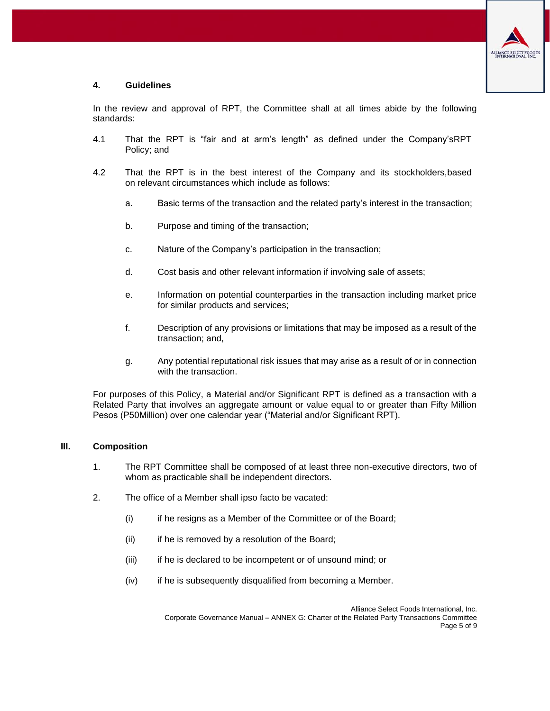

#### **4. Guidelines**

In the review and approval of RPT, the Committee shall at all times abide by the following standards:

- 4.1 That the RPT is "fair and at arm's length" as defined under the Company'sRPT Policy; and
- 4.2 That the RPT is in the best interest of the Company and its stockholders,based on relevant circumstances which include as follows:
	- a. Basic terms of the transaction and the related party's interest in the transaction;
	- b. Purpose and timing of the transaction;
	- c. Nature of the Company's participation in the transaction;
	- d. Cost basis and other relevant information if involving sale of assets;
	- e. Information on potential counterparties in the transaction including market price for similar products and services;
	- f. Description of any provisions or limitations that may be imposed as a result of the transaction; and,
	- g. Any potential reputational risk issues that may arise as a result of or in connection with the transaction.

For purposes of this Policy, a Material and/or Significant RPT is defined as a transaction with a Related Party that involves an aggregate amount or value equal to or greater than Fifty Million Pesos (P50Million) over one calendar year ("Material and/or Significant RPT).

#### <span id="page-4-0"></span>**III. Composition**

- 1. The RPT Committee shall be composed of at least three non-executive directors, two of whom as practicable shall be independent directors.
- 2. The office of a Member shall ipso facto be vacated:
	- (i) if he resigns as a Member of the Committee or of the Board;
	- (ii) if he is removed by a resolution of the Board;
	- (iii) if he is declared to be incompetent or of unsound mind; or
	- (iv) if he is subsequently disqualified from becoming a Member.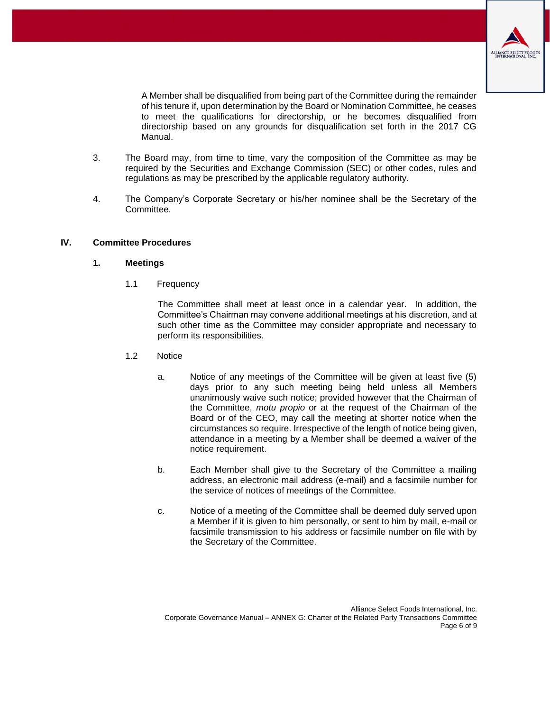

A Member shall be disqualified from being part of the Committee during the remainder of his tenure if, upon determination by the Board or Nomination Committee, he ceases to meet the qualifications for directorship, or he becomes disqualified from directorship based on any grounds for disqualification set forth in the 2017 CG Manual.

- 3. The Board may, from time to time, vary the composition of the Committee as may be required by the Securities and Exchange Commission (SEC) or other codes, rules and regulations as may be prescribed by the applicable regulatory authority.
- 4. The Company's Corporate Secretary or his/her nominee shall be the Secretary of the Committee.

#### <span id="page-5-0"></span>**IV. Committee Procedures**

#### **1. Meetings**

1.1 Frequency

The Committee shall meet at least once in a calendar year. In addition, the Committee's Chairman may convene additional meetings at his discretion, and at such other time as the Committee may consider appropriate and necessary to perform its responsibilities.

- 1.2 Notice
	- a. Notice of any meetings of the Committee will be given at least five (5) days prior to any such meeting being held unless all Members unanimously waive such notice; provided however that the Chairman of the Committee, *motu propio* or at the request of the Chairman of the Board or of the CEO, may call the meeting at shorter notice when the circumstances so require. Irrespective of the length of notice being given, attendance in a meeting by a Member shall be deemed a waiver of the notice requirement.
	- b. Each Member shall give to the Secretary of the Committee a mailing address, an electronic mail address (e-mail) and a facsimile number for the service of notices of meetings of the Committee.
	- c. Notice of a meeting of the Committee shall be deemed duly served upon a Member if it is given to him personally, or sent to him by mail, e-mail or facsimile transmission to his address or facsimile number on file with by the Secretary of the Committee.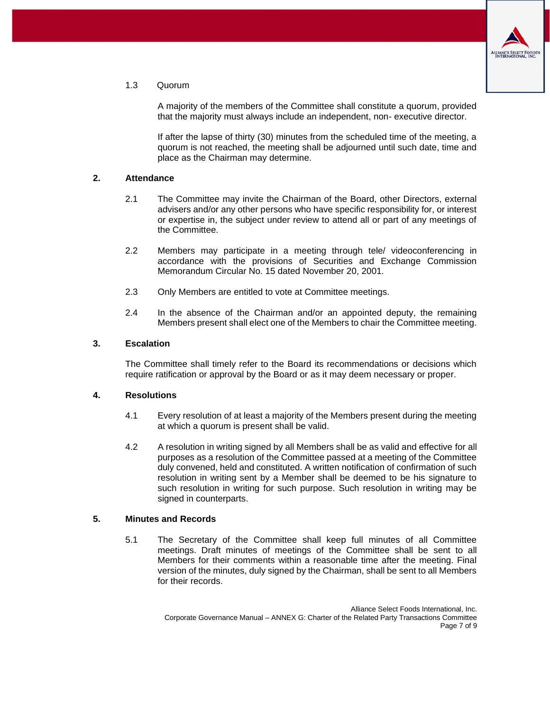

1.3 Quorum

A majority of the members of the Committee shall constitute a quorum, provided that the majority must always include an independent, non- executive director.

If after the lapse of thirty (30) minutes from the scheduled time of the meeting, a quorum is not reached, the meeting shall be adjourned until such date, time and place as the Chairman may determine.

#### **2. Attendance**

- 2.1 The Committee may invite the Chairman of the Board, other Directors, external advisers and/or any other persons who have specific responsibility for, or interest or expertise in, the subject under review to attend all or part of any meetings of the Committee.
- 2.2 Members may participate in a meeting through tele/ videoconferencing in accordance with the provisions of Securities and Exchange Commission Memorandum Circular No. 15 dated November 20, 2001.
- 2.3 Only Members are entitled to vote at Committee meetings.
- 2.4 In the absence of the Chairman and/or an appointed deputy, the remaining Members present shall elect one of the Members to chair the Committee meeting.

#### **3. Escalation**

The Committee shall timely refer to the Board its recommendations or decisions which require ratification or approval by the Board or as it may deem necessary or proper.

#### **4. Resolutions**

- 4.1 Every resolution of at least a majority of the Members present during the meeting at which a quorum is present shall be valid.
- 4.2 A resolution in writing signed by all Members shall be as valid and effective for all purposes as a resolution of the Committee passed at a meeting of the Committee duly convened, held and constituted. A written notification of confirmation of such resolution in writing sent by a Member shall be deemed to be his signature to such resolution in writing for such purpose. Such resolution in writing may be signed in counterparts.

#### **5. Minutes and Records**

5.1 The Secretary of the Committee shall keep full minutes of all Committee meetings. Draft minutes of meetings of the Committee shall be sent to all Members for their comments within a reasonable time after the meeting. Final version of the minutes, duly signed by the Chairman, shall be sent to all Members for their records.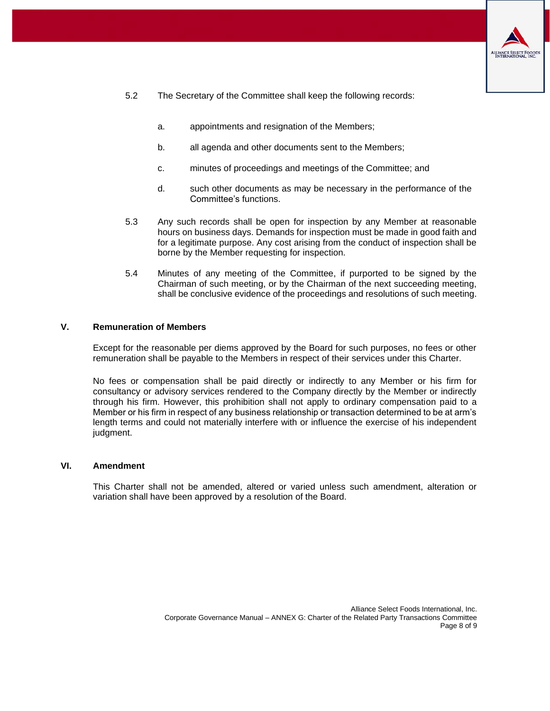

- 5.2 The Secretary of the Committee shall keep the following records:
	- a. appointments and resignation of the Members;
	- b. all agenda and other documents sent to the Members;
	- c. minutes of proceedings and meetings of the Committee; and
	- d. such other documents as may be necessary in the performance of the Committee's functions.
- 5.3 Any such records shall be open for inspection by any Member at reasonable hours on business days. Demands for inspection must be made in good faith and for a legitimate purpose. Any cost arising from the conduct of inspection shall be borne by the Member requesting for inspection.
- 5.4 Minutes of any meeting of the Committee, if purported to be signed by the Chairman of such meeting, or by the Chairman of the next succeeding meeting, shall be conclusive evidence of the proceedings and resolutions of such meeting.

#### <span id="page-7-0"></span>**V. Remuneration of Members**

Except for the reasonable per diems approved by the Board for such purposes, no fees or other remuneration shall be payable to the Members in respect of their services under this Charter.

No fees or compensation shall be paid directly or indirectly to any Member or his firm for consultancy or advisory services rendered to the Company directly by the Member or indirectly through his firm. However, this prohibition shall not apply to ordinary compensation paid to a Member or his firm in respect of any business relationship or transaction determined to be at arm's length terms and could not materially interfere with or influence the exercise of his independent judgment.

#### <span id="page-7-1"></span>**VI. Amendment**

This Charter shall not be amended, altered or varied unless such amendment, alteration or variation shall have been approved by a resolution of the Board.